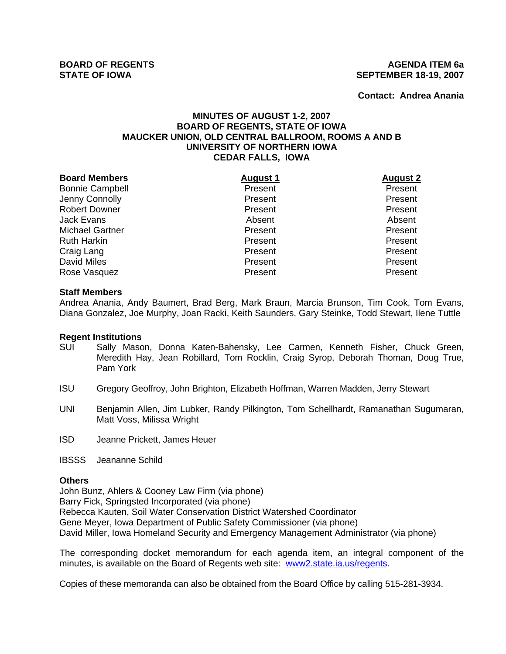**Contact: Andrea Anania**

# **MINUTES OF AUGUST 1-2, 2007 BOARD OF REGENTS, STATE OF IOWA MAUCKER UNION, OLD CENTRAL BALLROOM, ROOMS A AND B UNIVERSITY OF NORTHERN IOWA CEDAR FALLS, IOWA**

| <b>Board Members</b>   | <b>August 1</b> | <b>August 2</b> |
|------------------------|-----------------|-----------------|
| <b>Bonnie Campbell</b> | Present         | Present         |
| Jenny Connolly         | Present         | Present         |
| <b>Robert Downer</b>   | Present         | Present         |
| <b>Jack Evans</b>      | Absent          | Absent          |
| <b>Michael Gartner</b> | Present         | Present         |
| <b>Ruth Harkin</b>     | Present         | Present         |
| Craig Lang             | Present         | Present         |
| <b>David Miles</b>     | Present         | Present         |
| Rose Vasquez           | Present         | Present         |

#### **Staff Members**

Andrea Anania, Andy Baumert, Brad Berg, Mark Braun, Marcia Brunson, Tim Cook, Tom Evans, Diana Gonzalez, Joe Murphy, Joan Racki, Keith Saunders, Gary Steinke, Todd Stewart, Ilene Tuttle

#### **Regent Institutions**

- SUI Sally Mason, Donna Katen-Bahensky, Lee Carmen, Kenneth Fisher, Chuck Green, Meredith Hay, Jean Robillard, Tom Rocklin, Craig Syrop, Deborah Thoman, Doug True, Pam York
- ISU Gregory Geoffroy, John Brighton, Elizabeth Hoffman, Warren Madden, Jerry Stewart
- UNI Benjamin Allen, Jim Lubker, Randy Pilkington, Tom Schellhardt, Ramanathan Sugumaran, Matt Voss, Milissa Wright
- ISD Jeanne Prickett, James Heuer

IBSSS Jeananne Schild

#### **Others**

John Bunz, Ahlers & Cooney Law Firm (via phone) Barry Fick, Springsted Incorporated (via phone) Rebecca Kauten, Soil Water Conservation District Watershed Coordinator Gene Meyer, Iowa Department of Public Safety Commissioner (via phone) David Miller, Iowa Homeland Security and Emergency Management Administrator (via phone)

The corresponding docket memorandum for each agenda item, an integral component of the minutes, is available on the Board of Regents web site: www2.state.ia.us/regents.

Copies of these memoranda can also be obtained from the Board Office by calling 515-281-3934.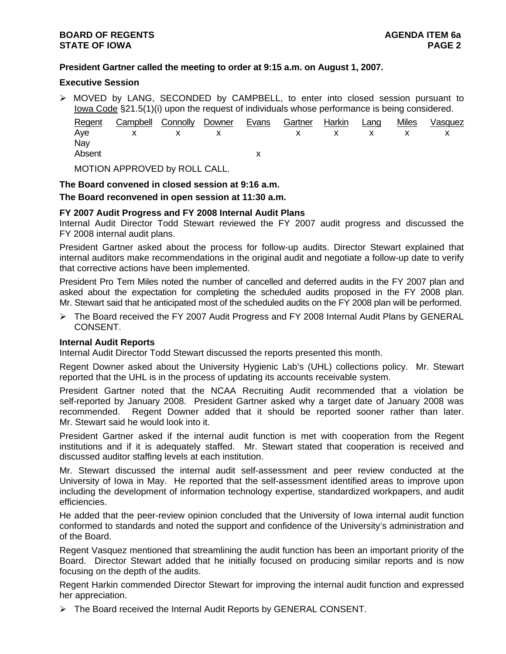# **President Gartner called the meeting to order at 9:15 a.m. on August 1, 2007.**

#### **Executive Session**

 $\triangleright$  MOVED by LANG, SECONDED by CAMPBELL, to enter into closed session pursuant to Iowa Code §21.5(1)(i) upon the request of individuals whose performance is being considered.

| Regent | Campbell Connolly Downer |  | Evans | Gartner Harkin | Lang         | <b>Miles</b> | Vasquez |
|--------|--------------------------|--|-------|----------------|--------------|--------------|---------|
|        | Ave x x x x x x          |  |       |                | $\mathsf{X}$ |              |         |
| Nav    |                          |  |       |                |              |              |         |
| Absent |                          |  |       |                |              |              |         |
|        |                          |  |       |                |              |              |         |

MOTION APPROVED by ROLL CALL.

#### **The Board convened in closed session at 9:16 a.m.**

**The Board reconvened in open session at 11:30 a.m.** 

# **FY 2007 Audit Progress and FY 2008 Internal Audit Plans**

Internal Audit Director Todd Stewart reviewed the FY 2007 audit progress and discussed the FY 2008 internal audit plans.

President Gartner asked about the process for follow-up audits. Director Stewart explained that internal auditors make recommendations in the original audit and negotiate a follow-up date to verify that corrective actions have been implemented.

President Pro Tem Miles noted the number of cancelled and deferred audits in the FY 2007 plan and asked about the expectation for completing the scheduled audits proposed in the FY 2008 plan. Mr. Stewart said that he anticipated most of the scheduled audits on the FY 2008 plan will be performed.

¾ The Board received the FY 2007 Audit Progress and FY 2008 Internal Audit Plans by GENERAL CONSENT.

## **Internal Audit Reports**

Internal Audit Director Todd Stewart discussed the reports presented this month.

Regent Downer asked about the University Hygienic Lab's (UHL) collections policy. Mr. Stewart reported that the UHL is in the process of updating its accounts receivable system.

President Gartner noted that the NCAA Recruiting Audit recommended that a violation be self-reported by January 2008. President Gartner asked why a target date of January 2008 was recommended. Regent Downer added that it should be reported sooner rather than later. Mr. Stewart said he would look into it.

President Gartner asked if the internal audit function is met with cooperation from the Regent institutions and if it is adequately staffed. Mr. Stewart stated that cooperation is received and discussed auditor staffing levels at each institution.

Mr. Stewart discussed the internal audit self-assessment and peer review conducted at the University of Iowa in May. He reported that the self-assessment identified areas to improve upon including the development of information technology expertise, standardized workpapers, and audit efficiencies.

He added that the peer-review opinion concluded that the University of Iowa internal audit function conformed to standards and noted the support and confidence of the University's administration and of the Board.

Regent Vasquez mentioned that streamlining the audit function has been an important priority of the Board. Director Stewart added that he initially focused on producing similar reports and is now focusing on the depth of the audits.

Regent Harkin commended Director Stewart for improving the internal audit function and expressed her appreciation.

¾ The Board received the Internal Audit Reports by GENERAL CONSENT.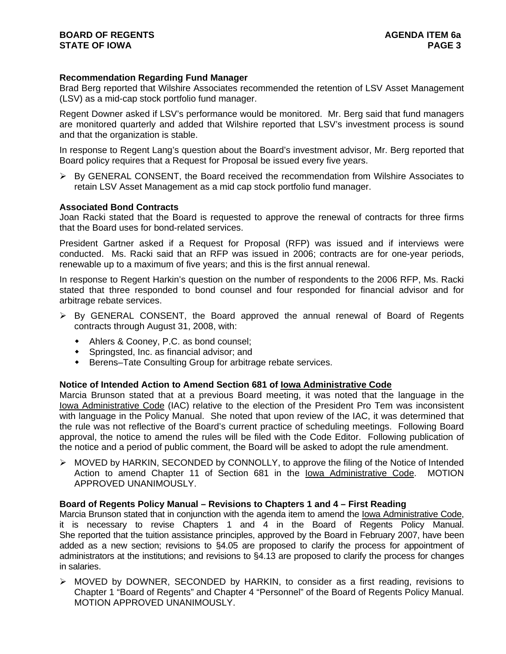# **Recommendation Regarding Fund Manager**

Brad Berg reported that Wilshire Associates recommended the retention of LSV Asset Management (LSV) as a mid-cap stock portfolio fund manager.

Regent Downer asked if LSV's performance would be monitored. Mr. Berg said that fund managers are monitored quarterly and added that Wilshire reported that LSV's investment process is sound and that the organization is stable.

In response to Regent Lang's question about the Board's investment advisor, Mr. Berg reported that Board policy requires that a Request for Proposal be issued every five years.

 $\triangleright$  By GENERAL CONSENT, the Board received the recommendation from Wilshire Associates to retain LSV Asset Management as a mid cap stock portfolio fund manager.

#### **Associated Bond Contracts**

Joan Racki stated that the Board is requested to approve the renewal of contracts for three firms that the Board uses for bond-related services.

President Gartner asked if a Request for Proposal (RFP) was issued and if interviews were conducted. Ms. Racki said that an RFP was issued in 2006; contracts are for one-year periods, renewable up to a maximum of five years; and this is the first annual renewal.

In response to Regent Harkin's question on the number of respondents to the 2006 RFP, Ms. Racki stated that three responded to bond counsel and four responded for financial advisor and for arbitrage rebate services.

- $\triangleright$  By GENERAL CONSENT, the Board approved the annual renewal of Board of Regents contracts through August 31, 2008, with:
	- Ahlers & Cooney, P.C. as bond counsel;
	- Springsted, Inc. as financial advisor; and
	- Berens–Tate Consulting Group for arbitrage rebate services.

## **Notice of Intended Action to Amend Section 681 of Iowa Administrative Code**

Marcia Brunson stated that at a previous Board meeting, it was noted that the language in the lowa Administrative Code (IAC) relative to the election of the President Pro Tem was inconsistent with language in the Policy Manual. She noted that upon review of the IAC, it was determined that the rule was not reflective of the Board's current practice of scheduling meetings. Following Board approval, the notice to amend the rules will be filed with the Code Editor. Following publication of the notice and a period of public comment, the Board will be asked to adopt the rule amendment.

¾ MOVED by HARKIN, SECONDED by CONNOLLY, to approve the filing of the Notice of Intended Action to amend Chapter 11 of Section 681 in the Iowa Administrative Code. MOTION APPROVED UNANIMOUSLY.

#### **Board of Regents Policy Manual – Revisions to Chapters 1 and 4 – First Reading**

Marcia Brunson stated that in conjunction with the agenda item to amend the Iowa Administrative Code, it is necessary to revise Chapters 1 and 4 in the Board of Regents Policy Manual. She reported that the tuition assistance principles, approved by the Board in February 2007, have been added as a new section; revisions to §4.05 are proposed to clarify the process for appointment of administrators at the institutions; and revisions to §4.13 are proposed to clarify the process for changes in salaries.

¾ MOVED by DOWNER, SECONDED by HARKIN, to consider as a first reading, revisions to Chapter 1 "Board of Regents" and Chapter 4 "Personnel" of the Board of Regents Policy Manual. MOTION APPROVED UNANIMOUSLY.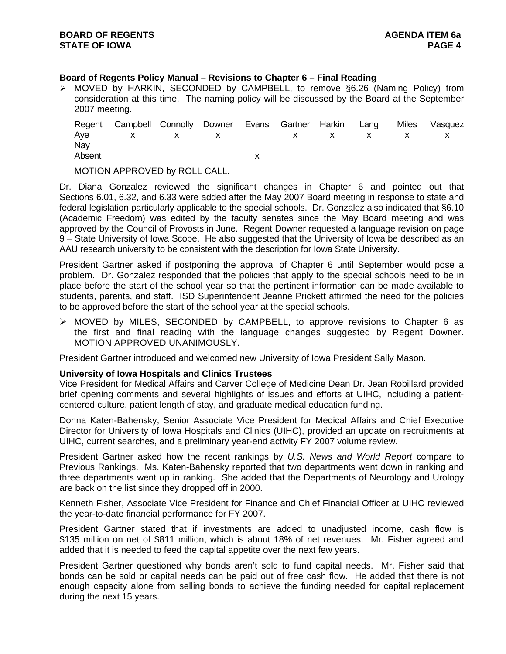# **Board of Regents Policy Manual – Revisions to Chapter 6 – Final Reading**

¾ MOVED by HARKIN, SECONDED by CAMPBELL, to remove §6.26 (Naming Policy) from consideration at this time. The naming policy will be discussed by the Board at the September 2007 meeting.

| <u>Regent</u> | Campbell Connolly Downer |  | <sup>2</sup> Evans | Gartner Harkin Lang |  | <b>Miles</b> | Vasquez |
|---------------|--------------------------|--|--------------------|---------------------|--|--------------|---------|
|               | Aye x x x x x x x x x    |  |                    |                     |  |              |         |
| Nav           |                          |  |                    |                     |  |              |         |
| Absent        |                          |  |                    |                     |  |              |         |
|               |                          |  |                    |                     |  |              |         |

MOTION APPROVED by ROLL CALL.

Dr. Diana Gonzalez reviewed the significant changes in Chapter 6 and pointed out that Sections 6.01, 6.32, and 6.33 were added after the May 2007 Board meeting in response to state and federal legislation particularly applicable to the special schools. Dr. Gonzalez also indicated that §6.10 (Academic Freedom) was edited by the faculty senates since the May Board meeting and was approved by the Council of Provosts in June. Regent Downer requested a language revision on page 9 – State University of Iowa Scope. He also suggested that the University of Iowa be described as an AAU research university to be consistent with the description for Iowa State University.

President Gartner asked if postponing the approval of Chapter 6 until September would pose a problem. Dr. Gonzalez responded that the policies that apply to the special schools need to be in place before the start of the school year so that the pertinent information can be made available to students, parents, and staff. ISD Superintendent Jeanne Prickett affirmed the need for the policies to be approved before the start of the school year at the special schools.

 $\triangleright$  MOVED by MILES, SECONDED by CAMPBELL, to approve revisions to Chapter 6 as the first and final reading with the language changes suggested by Regent Downer. MOTION APPROVED UNANIMOUSLY.

President Gartner introduced and welcomed new University of Iowa President Sally Mason.

## **University of Iowa Hospitals and Clinics Trustees**

Vice President for Medical Affairs and Carver College of Medicine Dean Dr. Jean Robillard provided brief opening comments and several highlights of issues and efforts at UIHC, including a patientcentered culture, patient length of stay, and graduate medical education funding.

Donna Katen-Bahensky, Senior Associate Vice President for Medical Affairs and Chief Executive Director for University of Iowa Hospitals and Clinics (UIHC), provided an update on recruitments at UIHC, current searches, and a preliminary year-end activity FY 2007 volume review.

President Gartner asked how the recent rankings by *U.S. News and World Report* compare to Previous Rankings. Ms. Katen-Bahensky reported that two departments went down in ranking and three departments went up in ranking. She added that the Departments of Neurology and Urology are back on the list since they dropped off in 2000.

Kenneth Fisher, Associate Vice President for Finance and Chief Financial Officer at UIHC reviewed the year-to-date financial performance for FY 2007.

President Gartner stated that if investments are added to unadjusted income, cash flow is \$135 million on net of \$811 million, which is about 18% of net revenues. Mr. Fisher agreed and added that it is needed to feed the capital appetite over the next few years.

President Gartner questioned why bonds aren't sold to fund capital needs. Mr. Fisher said that bonds can be sold or capital needs can be paid out of free cash flow. He added that there is not enough capacity alone from selling bonds to achieve the funding needed for capital replacement during the next 15 years.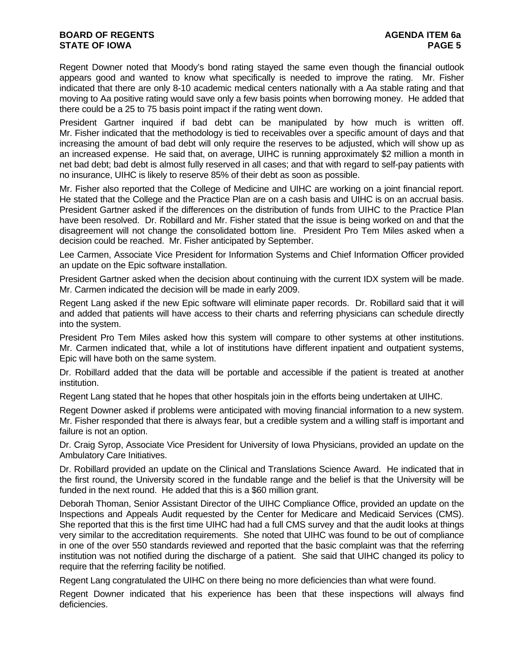Regent Downer noted that Moody's bond rating stayed the same even though the financial outlook appears good and wanted to know what specifically is needed to improve the rating. Mr. Fisher indicated that there are only 8-10 academic medical centers nationally with a Aa stable rating and that moving to Aa positive rating would save only a few basis points when borrowing money. He added that there could be a 25 to 75 basis point impact if the rating went down.

President Gartner inquired if bad debt can be manipulated by how much is written off. Mr. Fisher indicated that the methodology is tied to receivables over a specific amount of days and that increasing the amount of bad debt will only require the reserves to be adjusted, which will show up as an increased expense. He said that, on average, UIHC is running approximately \$2 million a month in net bad debt; bad debt is almost fully reserved in all cases; and that with regard to self-pay patients with no insurance, UIHC is likely to reserve 85% of their debt as soon as possible.

Mr. Fisher also reported that the College of Medicine and UIHC are working on a joint financial report. He stated that the College and the Practice Plan are on a cash basis and UIHC is on an accrual basis. President Gartner asked if the differences on the distribution of funds from UIHC to the Practice Plan have been resolved. Dr. Robillard and Mr. Fisher stated that the issue is being worked on and that the disagreement will not change the consolidated bottom line. President Pro Tem Miles asked when a decision could be reached. Mr. Fisher anticipated by September.

Lee Carmen, Associate Vice President for Information Systems and Chief Information Officer provided an update on the Epic software installation.

President Gartner asked when the decision about continuing with the current IDX system will be made. Mr. Carmen indicated the decision will be made in early 2009.

Regent Lang asked if the new Epic software will eliminate paper records. Dr. Robillard said that it will and added that patients will have access to their charts and referring physicians can schedule directly into the system.

President Pro Tem Miles asked how this system will compare to other systems at other institutions. Mr. Carmen indicated that, while a lot of institutions have different inpatient and outpatient systems, Epic will have both on the same system.

Dr. Robillard added that the data will be portable and accessible if the patient is treated at another institution.

Regent Lang stated that he hopes that other hospitals join in the efforts being undertaken at UIHC.

Regent Downer asked if problems were anticipated with moving financial information to a new system. Mr. Fisher responded that there is always fear, but a credible system and a willing staff is important and failure is not an option.

Dr. Craig Syrop, Associate Vice President for University of Iowa Physicians, provided an update on the Ambulatory Care Initiatives.

Dr. Robillard provided an update on the Clinical and Translations Science Award. He indicated that in the first round, the University scored in the fundable range and the belief is that the University will be funded in the next round. He added that this is a \$60 million grant.

Deborah Thoman, Senior Assistant Director of the UIHC Compliance Office, provided an update on the Inspections and Appeals Audit requested by the Center for Medicare and Medicaid Services (CMS). She reported that this is the first time UIHC had had a full CMS survey and that the audit looks at things very similar to the accreditation requirements. She noted that UIHC was found to be out of compliance in one of the over 550 standards reviewed and reported that the basic complaint was that the referring institution was not notified during the discharge of a patient. She said that UIHC changed its policy to require that the referring facility be notified.

Regent Lang congratulated the UIHC on there being no more deficiencies than what were found.

Regent Downer indicated that his experience has been that these inspections will always find deficiencies.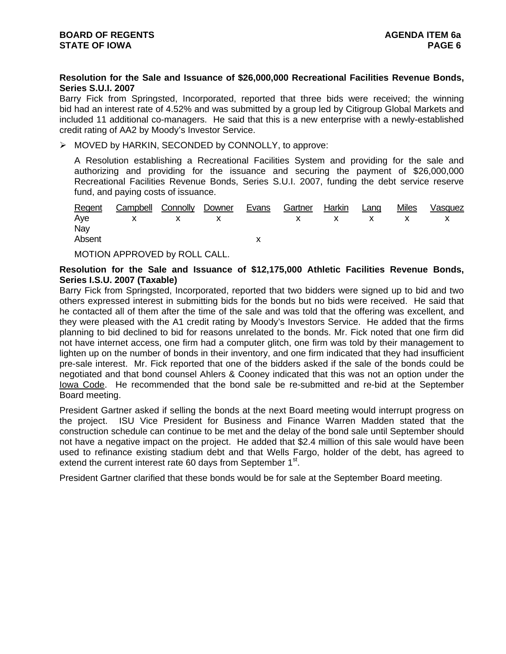## **Resolution for the Sale and Issuance of \$26,000,000 Recreational Facilities Revenue Bonds, Series S.U.I. 2007**

Barry Fick from Springsted, Incorporated, reported that three bids were received; the winning bid had an interest rate of 4.52% and was submitted by a group led by Citigroup Global Markets and included 11 additional co-managers. He said that this is a new enterprise with a newly-established credit rating of AA2 by Moody's Investor Service.

¾ MOVED by HARKIN, SECONDED by CONNOLLY, to approve:

A Resolution establishing a Recreational Facilities System and providing for the sale and authorizing and providing for the issuance and securing the payment of \$26,000,000 Recreational Facilities Revenue Bonds, Series S.U.I. 2007, funding the debt service reserve fund, and paying costs of issuance.

|        | Regent Campbell Connolly Downer |  | Evans | Gartner Harkin Lang |  | Miles | Vasquez |
|--------|---------------------------------|--|-------|---------------------|--|-------|---------|
|        | Aye x x x x x x x               |  |       |                     |  |       |         |
| Nay    |                                 |  |       |                     |  |       |         |
| Absent |                                 |  |       |                     |  |       |         |

MOTION APPROVED by ROLL CALL.

#### **Resolution for the Sale and Issuance of \$12,175,000 Athletic Facilities Revenue Bonds, Series I.S.U. 2007 (Taxable)**

Barry Fick from Springsted, Incorporated, reported that two bidders were signed up to bid and two others expressed interest in submitting bids for the bonds but no bids were received. He said that he contacted all of them after the time of the sale and was told that the offering was excellent, and they were pleased with the A1 credit rating by Moody's Investors Service. He added that the firms planning to bid declined to bid for reasons unrelated to the bonds. Mr. Fick noted that one firm did not have internet access, one firm had a computer glitch, one firm was told by their management to lighten up on the number of bonds in their inventory, and one firm indicated that they had insufficient pre-sale interest. Mr. Fick reported that one of the bidders asked if the sale of the bonds could be negotiated and that bond counsel Ahlers & Cooney indicated that this was not an option under the Iowa Code. He recommended that the bond sale be re-submitted and re-bid at the September Board meeting.

President Gartner asked if selling the bonds at the next Board meeting would interrupt progress on the project. ISU Vice President for Business and Finance Warren Madden stated that the construction schedule can continue to be met and the delay of the bond sale until September should not have a negative impact on the project. He added that \$2.4 million of this sale would have been used to refinance existing stadium debt and that Wells Fargo, holder of the debt, has agreed to extend the current interest rate 60 days from September 1<sup>st</sup>.

President Gartner clarified that these bonds would be for sale at the September Board meeting.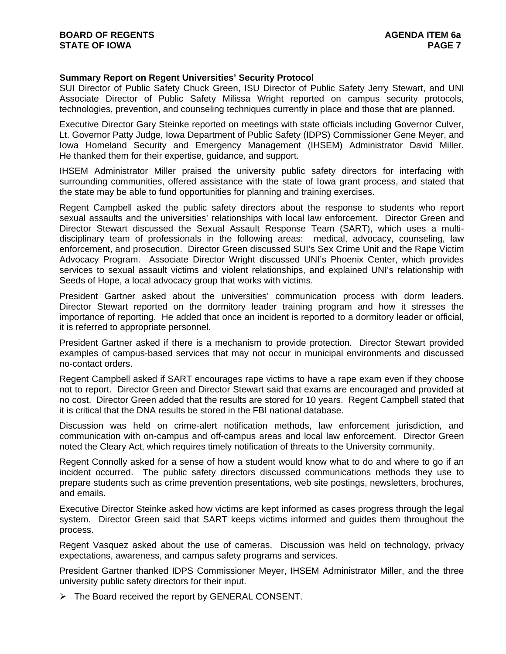#### **Summary Report on Regent Universities' Security Protocol**

SUI Director of Public Safety Chuck Green, ISU Director of Public Safety Jerry Stewart, and UNI Associate Director of Public Safety Milissa Wright reported on campus security protocols, technologies, prevention, and counseling techniques currently in place and those that are planned.

Executive Director Gary Steinke reported on meetings with state officials including Governor Culver, Lt. Governor Patty Judge, Iowa Department of Public Safety (IDPS) Commissioner Gene Meyer, and Iowa Homeland Security and Emergency Management (IHSEM) Administrator David Miller. He thanked them for their expertise, guidance, and support.

IHSEM Administrator Miller praised the university public safety directors for interfacing with surrounding communities, offered assistance with the state of Iowa grant process, and stated that the state may be able to fund opportunities for planning and training exercises.

Regent Campbell asked the public safety directors about the response to students who report sexual assaults and the universities' relationships with local law enforcement. Director Green and Director Stewart discussed the Sexual Assault Response Team (SART), which uses a multidisciplinary team of professionals in the following areas: medical, advocacy, counseling, law enforcement, and prosecution. Director Green discussed SUI's Sex Crime Unit and the Rape Victim Advocacy Program. Associate Director Wright discussed UNI's Phoenix Center, which provides services to sexual assault victims and violent relationships, and explained UNI's relationship with Seeds of Hope, a local advocacy group that works with victims.

President Gartner asked about the universities' communication process with dorm leaders. Director Stewart reported on the dormitory leader training program and how it stresses the importance of reporting. He added that once an incident is reported to a dormitory leader or official, it is referred to appropriate personnel.

President Gartner asked if there is a mechanism to provide protection. Director Stewart provided examples of campus-based services that may not occur in municipal environments and discussed no-contact orders.

Regent Campbell asked if SART encourages rape victims to have a rape exam even if they choose not to report. Director Green and Director Stewart said that exams are encouraged and provided at no cost. Director Green added that the results are stored for 10 years. Regent Campbell stated that it is critical that the DNA results be stored in the FBI national database.

Discussion was held on crime-alert notification methods, law enforcement jurisdiction, and communication with on-campus and off-campus areas and local law enforcement. Director Green noted the Cleary Act, which requires timely notification of threats to the University community.

Regent Connolly asked for a sense of how a student would know what to do and where to go if an incident occurred. The public safety directors discussed communications methods they use to prepare students such as crime prevention presentations, web site postings, newsletters, brochures, and emails.

Executive Director Steinke asked how victims are kept informed as cases progress through the legal system. Director Green said that SART keeps victims informed and guides them throughout the process.

Regent Vasquez asked about the use of cameras. Discussion was held on technology, privacy expectations, awareness, and campus safety programs and services.

President Gartner thanked IDPS Commissioner Meyer, IHSEM Administrator Miller, and the three university public safety directors for their input.

¾ The Board received the report by GENERAL CONSENT.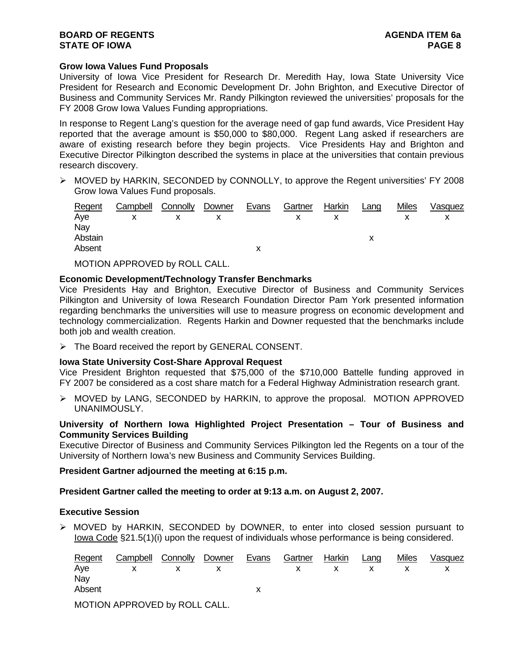## **Grow Iowa Values Fund Proposals**

University of Iowa Vice President for Research Dr. Meredith Hay, Iowa State University Vice President for Research and Economic Development Dr. John Brighton, and Executive Director of Business and Community Services Mr. Randy Pilkington reviewed the universities' proposals for the FY 2008 Grow Iowa Values Funding appropriations.

In response to Regent Lang's question for the average need of gap fund awards, Vice President Hay reported that the average amount is \$50,000 to \$80,000. Regent Lang asked if researchers are aware of existing research before they begin projects. Vice Presidents Hay and Brighton and Executive Director Pilkington described the systems in place at the universities that contain previous research discovery.

¾ MOVED by HARKIN, SECONDED by CONNOLLY, to approve the Regent universities' FY 2008 Grow Iowa Values Fund proposals.

| Regent  | Campbell | Connolly | Downer | Evans | Gartner | Harkin | Lang | <b>Miles</b> | Vasquez |
|---------|----------|----------|--------|-------|---------|--------|------|--------------|---------|
| Aye     |          |          |        |       |         |        |      |              |         |
| Nay     |          |          |        |       |         |        |      |              |         |
| Abstain |          |          |        |       |         |        |      |              |         |
| Absent  |          |          |        |       |         |        |      |              |         |
|         |          |          |        |       |         |        |      |              |         |

MOTION APPROVED by ROLL CALL.

# **Economic Development/Technology Transfer Benchmarks**

Vice Presidents Hay and Brighton, Executive Director of Business and Community Services Pilkington and University of Iowa Research Foundation Director Pam York presented information regarding benchmarks the universities will use to measure progress on economic development and technology commercialization. Regents Harkin and Downer requested that the benchmarks include both job and wealth creation.

¾ The Board received the report by GENERAL CONSENT.

## **Iowa State University Cost-Share Approval Request**

Vice President Brighton requested that \$75,000 of the \$710,000 Battelle funding approved in FY 2007 be considered as a cost share match for a Federal Highway Administration research grant.

¾ MOVED by LANG, SECONDED by HARKIN, to approve the proposal. MOTION APPROVED UNANIMOUSLY.

# **University of Northern Iowa Highlighted Project Presentation – Tour of Business and Community Services Building**

Executive Director of Business and Community Services Pilkington led the Regents on a tour of the University of Northern Iowa's new Business and Community Services Building.

## **President Gartner adjourned the meeting at 6:15 p.m.**

## **President Gartner called the meeting to order at 9:13 a.m. on August 2, 2007.**

## **Executive Session**

¾ MOVED by HARKIN, SECONDED by DOWNER, to enter into closed session pursuant to Iowa Code §21.5(1)(i) upon the request of individuals whose performance is being considered.

| Regent | <b>Campbell Connolly Downer Evans</b> |       | Gartner Harkin Lang |  | Miles | Vasquez |
|--------|---------------------------------------|-------|---------------------|--|-------|---------|
|        | Aye x x x x x x x x x                 |       |                     |  |       |         |
| Nay    |                                       |       |                     |  |       |         |
| Absent |                                       |       |                     |  |       |         |
|        |                                       | _ _ _ |                     |  |       |         |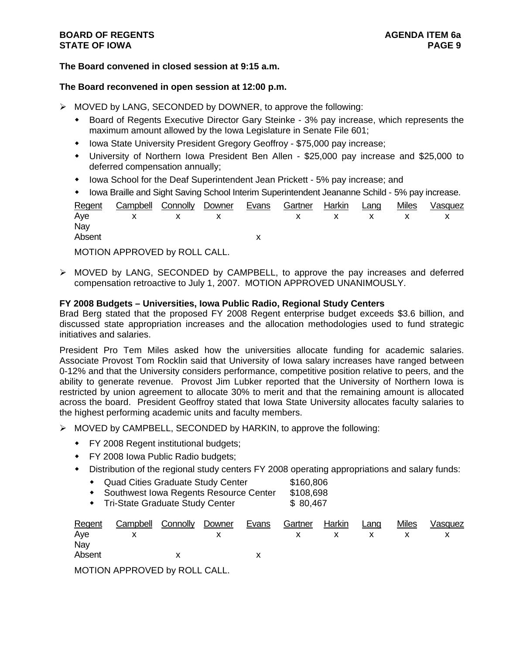# **BOARD OF REGENTS AGENUS AGENDA ITEM 6a STATE OF IOWA** PAGE 9

# **The Board convened in closed session at 9:15 a.m.**

#### **The Board reconvened in open session at 12:00 p.m.**

- $\triangleright$  MOVED by LANG, SECONDED by DOWNER, to approve the following:
	- Board of Regents Executive Director Gary Steinke 3% pay increase, which represents the maximum amount allowed by the Iowa Legislature in Senate File 601;
	- Iowa State University President Gregory Geoffroy \$75,000 pay increase;
	- University of Northern Iowa President Ben Allen \$25,000 pay increase and \$25,000 to deferred compensation annually;
	- Iowa School for the Deaf Superintendent Jean Prickett 5% pay increase; and
	- Iowa Braille and Sight Saving School Interim Superintendent Jeananne Schild 5% pay increase.

| Regent | Campbell Connolly Downer Evans Gartner Harkin Lang |  |  |  | Miles | Vasquez |
|--------|----------------------------------------------------|--|--|--|-------|---------|
| Nav    | Aye x x x x x x x x x                              |  |  |  |       |         |
| Absent |                                                    |  |  |  |       |         |

MOTION APPROVED by ROLL CALL.

¾ MOVED by LANG, SECONDED by CAMPBELL, to approve the pay increases and deferred compensation retroactive to July 1, 2007. MOTION APPROVED UNANIMOUSLY.

## **FY 2008 Budgets – Universities, Iowa Public Radio, Regional Study Centers**

Brad Berg stated that the proposed FY 2008 Regent enterprise budget exceeds \$3.6 billion, and discussed state appropriation increases and the allocation methodologies used to fund strategic initiatives and salaries.

President Pro Tem Miles asked how the universities allocate funding for academic salaries. Associate Provost Tom Rocklin said that University of Iowa salary increases have ranged between 0-12% and that the University considers performance, competitive position relative to peers, and the ability to generate revenue. Provost Jim Lubker reported that the University of Northern Iowa is restricted by union agreement to allocate 30% to merit and that the remaining amount is allocated across the board. President Geoffroy stated that Iowa State University allocates faculty salaries to the highest performing academic units and faculty members.

- ¾ MOVED by CAMPBELL, SECONDED by HARKIN, to approve the following:
	- FY 2008 Regent institutional budgets;
	- FY 2008 Iowa Public Radio budgets;
	- Distribution of the regional study centers FY 2008 operating appropriations and salary funds:
		- ◆ Quad Cities Graduate Study Center \$160,806
		- Southwest Iowa Regents Resource Center \$108,698
		- Tri-State Graduate Study Center \$ 80,467

| Regent | Campbell Connolly Downer  |              | Evans | Gartner Harkin |         | Lang | <b>Miles</b> | Vasquez |
|--------|---------------------------|--------------|-------|----------------|---------|------|--------------|---------|
| Aye    |                           | $\mathsf{X}$ |       |                | $X$ x x |      |              |         |
| Nay    |                           |              |       |                |         |      |              |         |
| Absent |                           |              |       |                |         |      |              |         |
|        | MOTONI ADDONIDL, DOLI QNI |              |       |                |         |      |              |         |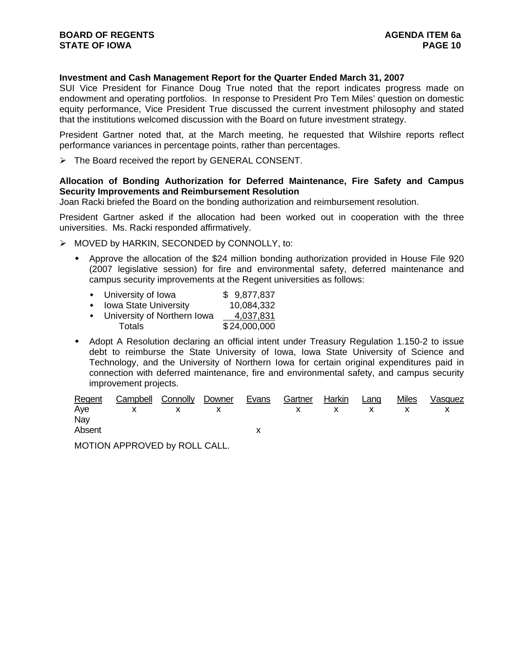# **Investment and Cash Management Report for the Quarter Ended March 31, 2007**

SUI Vice President for Finance Doug True noted that the report indicates progress made on endowment and operating portfolios. In response to President Pro Tem Miles' question on domestic equity performance, Vice President True discussed the current investment philosophy and stated that the institutions welcomed discussion with the Board on future investment strategy.

President Gartner noted that, at the March meeting, he requested that Wilshire reports reflect performance variances in percentage points, rather than percentages.

¾ The Board received the report by GENERAL CONSENT.

#### **Allocation of Bonding Authorization for Deferred Maintenance, Fire Safety and Campus Security Improvements and Reimbursement Resolution**

Joan Racki briefed the Board on the bonding authorization and reimbursement resolution.

President Gartner asked if the allocation had been worked out in cooperation with the three universities. Ms. Racki responded affirmatively.

- ¾ MOVED by HARKIN, SECONDED by CONNOLLY, to:
	- Approve the allocation of the \$24 million bonding authorization provided in House File 920 (2007 legislative session) for fire and environmental safety, deferred maintenance and campus security improvements at the Regent universities as follows:

|  | University of Iowa |  | \$9,877,837 |
|--|--------------------|--|-------------|
|--|--------------------|--|-------------|

- Iowa State University 10.084.332
- University of Northern Iowa 4.037.831 Totals \$24,000,000
- Adopt A Resolution declaring an official intent under Treasury Regulation 1.150-2 to issue debt to reimburse the State University of Iowa, Iowa State University of Science and Technology, and the University of Northern Iowa for certain original expenditures paid in connection with deferred maintenance, fire and environmental safety, and campus security improvement projects.

|        | Regent Campbell Connolly Downer Evans Gartner Harkin Lang Miles Vasquez |  |  |  |  |
|--------|-------------------------------------------------------------------------|--|--|--|--|
|        | Aye x x x x x x x x x                                                   |  |  |  |  |
| Nay    |                                                                         |  |  |  |  |
| Absent |                                                                         |  |  |  |  |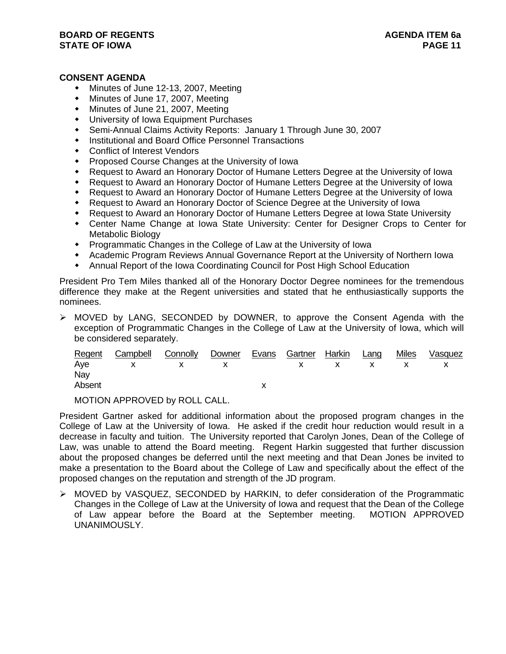# **CONSENT AGENDA**

- Minutes of June 12-13, 2007, Meeting
- Minutes of June 17, 2007, Meeting
- Minutes of June 21, 2007, Meeting
- University of Iowa Equipment Purchases
- Semi-Annual Claims Activity Reports: January 1 Through June 30, 2007
- Institutional and Board Office Personnel Transactions
- Conflict of Interest Vendors
- Proposed Course Changes at the University of Iowa
- Request to Award an Honorary Doctor of Humane Letters Degree at the University of Iowa
- Request to Award an Honorary Doctor of Humane Letters Degree at the University of Iowa
- Request to Award an Honorary Doctor of Humane Letters Degree at the University of Iowa
- Request to Award an Honorary Doctor of Science Degree at the University of Iowa
- Request to Award an Honorary Doctor of Humane Letters Degree at Iowa State University
- Center Name Change at Iowa State University: Center for Designer Crops to Center for Metabolic Biology
- Programmatic Changes in the College of Law at the University of Iowa
- Academic Program Reviews Annual Governance Report at the University of Northern Iowa
- Annual Report of the Iowa Coordinating Council for Post High School Education

President Pro Tem Miles thanked all of the Honorary Doctor Degree nominees for the tremendous difference they make at the Regent universities and stated that he enthusiastically supports the nominees.

 $\triangleright$  MOVED by LANG, SECONDED by DOWNER, to approve the Consent Agenda with the exception of Programmatic Changes in the College of Law at the University of Iowa, which will be considered separately.

|        | Regent Campbell Connolly Downer Evans Gartner Harkin Lang |  |  |  | Miles | Vasquez |
|--------|-----------------------------------------------------------|--|--|--|-------|---------|
|        | Aye x x x x x x x x x                                     |  |  |  |       |         |
| Nay    |                                                           |  |  |  |       |         |
| Absent |                                                           |  |  |  |       |         |
|        |                                                           |  |  |  |       |         |

MOTION APPROVED by ROLL CALL.

President Gartner asked for additional information about the proposed program changes in the College of Law at the University of Iowa. He asked if the credit hour reduction would result in a decrease in faculty and tuition. The University reported that Carolyn Jones, Dean of the College of Law, was unable to attend the Board meeting. Regent Harkin suggested that further discussion about the proposed changes be deferred until the next meeting and that Dean Jones be invited to make a presentation to the Board about the College of Law and specifically about the effect of the proposed changes on the reputation and strength of the JD program.

¾ MOVED by VASQUEZ, SECONDED by HARKIN, to defer consideration of the Programmatic Changes in the College of Law at the University of Iowa and request that the Dean of the College of Law appear before the Board at the September meeting. MOTION APPROVED UNANIMOUSLY.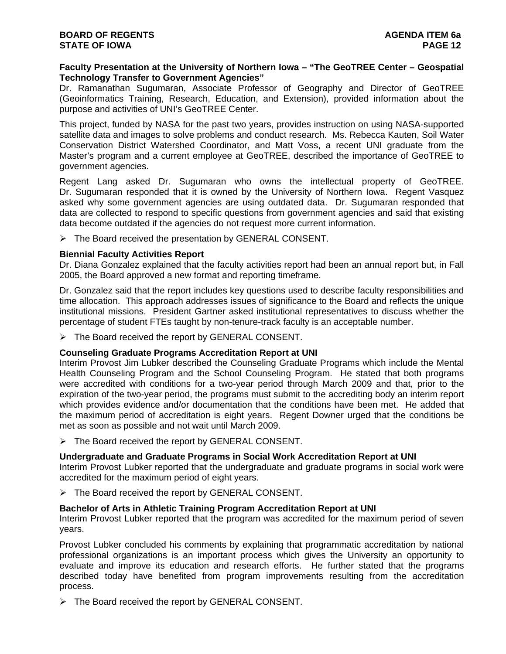#### **Faculty Presentation at the University of Northern Iowa – "The GeoTREE Center – Geospatial Technology Transfer to Government Agencies"**

Dr. Ramanathan Sugumaran, Associate Professor of Geography and Director of GeoTREE (Geoinformatics Training, Research, Education, and Extension), provided information about the purpose and activities of UNI's GeoTREE Center.

This project, funded by NASA for the past two years, provides instruction on using NASA-supported satellite data and images to solve problems and conduct research. Ms. Rebecca Kauten, Soil Water Conservation District Watershed Coordinator, and Matt Voss, a recent UNI graduate from the Master's program and a current employee at GeoTREE, described the importance of GeoTREE to government agencies.

Regent Lang asked Dr. Sugumaran who owns the intellectual property of GeoTREE. Dr. Sugumaran responded that it is owned by the University of Northern Iowa. Regent Vasquez asked why some government agencies are using outdated data. Dr. Sugumaran responded that data are collected to respond to specific questions from government agencies and said that existing data become outdated if the agencies do not request more current information.

¾ The Board received the presentation by GENERAL CONSENT.

## **Biennial Faculty Activities Report**

Dr. Diana Gonzalez explained that the faculty activities report had been an annual report but, in Fall 2005, the Board approved a new format and reporting timeframe.

Dr. Gonzalez said that the report includes key questions used to describe faculty responsibilities and time allocation. This approach addresses issues of significance to the Board and reflects the unique institutional missions. President Gartner asked institutional representatives to discuss whether the percentage of student FTEs taught by non-tenure-track faculty is an acceptable number.

 $\triangleright$  The Board received the report by GENERAL CONSENT.

## **Counseling Graduate Programs Accreditation Report at UNI**

Interim Provost Jim Lubker described the Counseling Graduate Programs which include the Mental Health Counseling Program and the School Counseling Program. He stated that both programs were accredited with conditions for a two-year period through March 2009 and that, prior to the expiration of the two-year period, the programs must submit to the accrediting body an interim report which provides evidence and/or documentation that the conditions have been met. He added that the maximum period of accreditation is eight years. Regent Downer urged that the conditions be met as soon as possible and not wait until March 2009.

 $\triangleright$  The Board received the report by GENERAL CONSENT.

## **Undergraduate and Graduate Programs in Social Work Accreditation Report at UNI**

Interim Provost Lubker reported that the undergraduate and graduate programs in social work were accredited for the maximum period of eight years.

¾ The Board received the report by GENERAL CONSENT.

## **Bachelor of Arts in Athletic Training Program Accreditation Report at UNI**

Interim Provost Lubker reported that the program was accredited for the maximum period of seven years.

Provost Lubker concluded his comments by explaining that programmatic accreditation by national professional organizations is an important process which gives the University an opportunity to evaluate and improve its education and research efforts. He further stated that the programs described today have benefited from program improvements resulting from the accreditation process.

¾ The Board received the report by GENERAL CONSENT.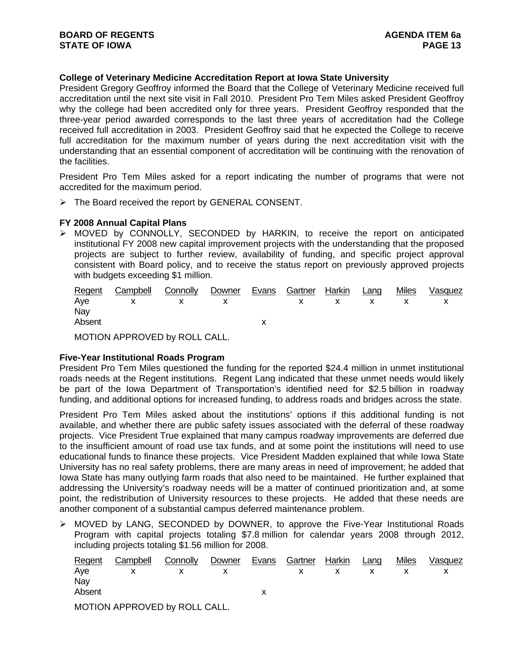# **College of Veterinary Medicine Accreditation Report at Iowa State University**

President Gregory Geoffroy informed the Board that the College of Veterinary Medicine received full accreditation until the next site visit in Fall 2010. President Pro Tem Miles asked President Geoffroy why the college had been accredited only for three years. President Geoffroy responded that the three-year period awarded corresponds to the last three years of accreditation had the College received full accreditation in 2003. President Geoffroy said that he expected the College to receive full accreditation for the maximum number of years during the next accreditation visit with the understanding that an essential component of accreditation will be continuing with the renovation of the facilities.

President Pro Tem Miles asked for a report indicating the number of programs that were not accredited for the maximum period.

¾ The Board received the report by GENERAL CONSENT.

## **FY 2008 Annual Capital Plans**

 $\triangleright$  MOVED by CONNOLLY, SECONDED by HARKIN, to receive the report on anticipated institutional FY 2008 new capital improvement projects with the understanding that the proposed projects are subject to further review, availability of funding, and specific project approval consistent with Board policy, and to receive the status report on previously approved projects with budgets exceeding \$1 million.

|        | Regent Campbell Connolly Downer Evans Gartner Harkin Lang |  |  |  | Miles Vasquez |
|--------|-----------------------------------------------------------|--|--|--|---------------|
|        | Aye x x x x x x x x                                       |  |  |  |               |
| Nay    |                                                           |  |  |  |               |
| Absent |                                                           |  |  |  |               |

MOTION APPROVED by ROLL CALL.

## **Five-Year Institutional Roads Program**

President Pro Tem Miles questioned the funding for the reported \$24.4 million in unmet institutional roads needs at the Regent institutions. Regent Lang indicated that these unmet needs would likely be part of the Iowa Department of Transportation's identified need for \$2.5 billion in roadway funding, and additional options for increased funding, to address roads and bridges across the state.

President Pro Tem Miles asked about the institutions' options if this additional funding is not available, and whether there are public safety issues associated with the deferral of these roadway projects. Vice President True explained that many campus roadway improvements are deferred due to the insufficient amount of road use tax funds, and at some point the institutions will need to use educational funds to finance these projects. Vice President Madden explained that while Iowa State University has no real safety problems, there are many areas in need of improvement; he added that Iowa State has many outlying farm roads that also need to be maintained. He further explained that addressing the University's roadway needs will be a matter of continued prioritization and, at some point, the redistribution of University resources to these projects. He added that these needs are another component of a substantial campus deferred maintenance problem.

¾ MOVED by LANG, SECONDED by DOWNER, to approve the Five-Year Institutional Roads Program with capital projects totaling \$7.8 million for calendar years 2008 through 2012, including projects totaling \$1.56 million for 2008.

| Regent | Campbell Connolly Downer Evans Gartner Harkin Lang |       |  |  | Miles | Vasquez |
|--------|----------------------------------------------------|-------|--|--|-------|---------|
|        | Aye x x x x x x x x                                |       |  |  |       |         |
| Nay    |                                                    |       |  |  |       |         |
| Absent |                                                    |       |  |  |       |         |
|        |                                                    | _ _ _ |  |  |       |         |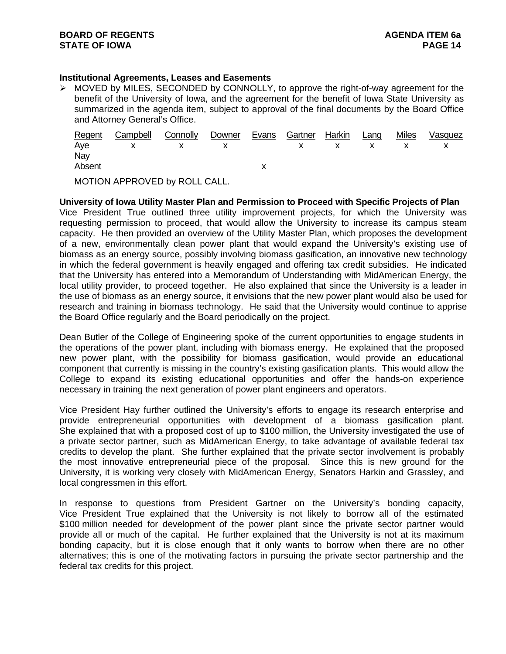# **Institutional Agreements, Leases and Easements**

¾ MOVED by MILES, SECONDED by CONNOLLY, to approve the right-of-way agreement for the benefit of the University of Iowa, and the agreement for the benefit of Iowa State University as summarized in the agenda item, subject to approval of the final documents by the Board Office and Attorney General's Office.

|        | Regent Campbell Connolly Downer Evans Gartner Harkin Lang |  |  |  | Miles | Vasquez |
|--------|-----------------------------------------------------------|--|--|--|-------|---------|
|        | Aye x x x x x x x x x                                     |  |  |  |       |         |
| Nay    |                                                           |  |  |  |       |         |
| Absent |                                                           |  |  |  |       |         |
|        |                                                           |  |  |  |       |         |

MOTION APPROVED by ROLL CALL.

**University of Iowa Utility Master Plan and Permission to Proceed with Specific Projects of Plan**  Vice President True outlined three utility improvement projects, for which the University was requesting permission to proceed, that would allow the University to increase its campus steam capacity. He then provided an overview of the Utility Master Plan, which proposes the development of a new, environmentally clean power plant that would expand the University's existing use of biomass as an energy source, possibly involving biomass gasification, an innovative new technology in which the federal government is heavily engaged and offering tax credit subsidies. He indicated that the University has entered into a Memorandum of Understanding with MidAmerican Energy, the local utility provider, to proceed together. He also explained that since the University is a leader in the use of biomass as an energy source, it envisions that the new power plant would also be used for research and training in biomass technology. He said that the University would continue to apprise the Board Office regularly and the Board periodically on the project.

Dean Butler of the College of Engineering spoke of the current opportunities to engage students in the operations of the power plant, including with biomass energy. He explained that the proposed new power plant, with the possibility for biomass gasification, would provide an educational component that currently is missing in the country's existing gasification plants. This would allow the College to expand its existing educational opportunities and offer the hands-on experience necessary in training the next generation of power plant engineers and operators.

Vice President Hay further outlined the University's efforts to engage its research enterprise and provide entrepreneurial opportunities with development of a biomass gasification plant. She explained that with a proposed cost of up to \$100 million, the University investigated the use of a private sector partner, such as MidAmerican Energy, to take advantage of available federal tax credits to develop the plant. She further explained that the private sector involvement is probably the most innovative entrepreneurial piece of the proposal. Since this is new ground for the University, it is working very closely with MidAmerican Energy, Senators Harkin and Grassley, and local congressmen in this effort.

In response to questions from President Gartner on the University's bonding capacity, Vice President True explained that the University is not likely to borrow all of the estimated \$100 million needed for development of the power plant since the private sector partner would provide all or much of the capital. He further explained that the University is not at its maximum bonding capacity, but it is close enough that it only wants to borrow when there are no other alternatives; this is one of the motivating factors in pursuing the private sector partnership and the federal tax credits for this project.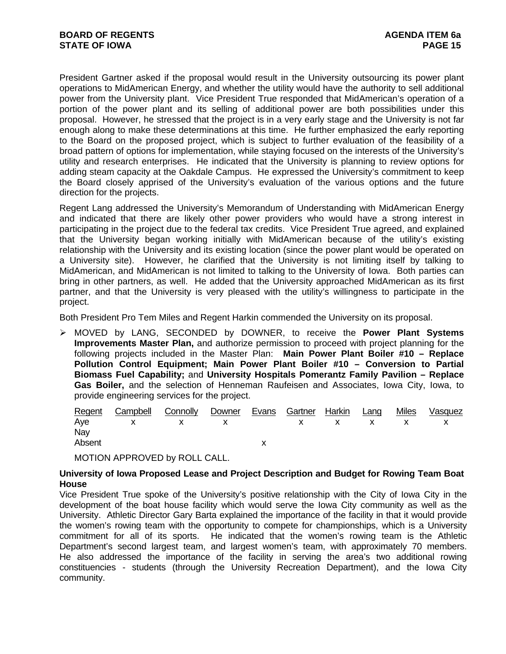President Gartner asked if the proposal would result in the University outsourcing its power plant operations to MidAmerican Energy, and whether the utility would have the authority to sell additional power from the University plant. Vice President True responded that MidAmerican's operation of a portion of the power plant and its selling of additional power are both possibilities under this proposal. However, he stressed that the project is in a very early stage and the University is not far enough along to make these determinations at this time. He further emphasized the early reporting to the Board on the proposed project, which is subject to further evaluation of the feasibility of a broad pattern of options for implementation, while staying focused on the interests of the University's utility and research enterprises. He indicated that the University is planning to review options for adding steam capacity at the Oakdale Campus. He expressed the University's commitment to keep the Board closely apprised of the University's evaluation of the various options and the future direction for the projects.

Regent Lang addressed the University's Memorandum of Understanding with MidAmerican Energy and indicated that there are likely other power providers who would have a strong interest in participating in the project due to the federal tax credits. Vice President True agreed, and explained that the University began working initially with MidAmerican because of the utility's existing relationship with the University and its existing location (since the power plant would be operated on a University site). However, he clarified that the University is not limiting itself by talking to MidAmerican, and MidAmerican is not limited to talking to the University of Iowa. Both parties can bring in other partners, as well. He added that the University approached MidAmerican as its first partner, and that the University is very pleased with the utility's willingness to participate in the project.

Both President Pro Tem Miles and Regent Harkin commended the University on its proposal.

¾ MOVED by LANG, SECONDED by DOWNER, to receive the **Power Plant Systems Improvements Master Plan,** and authorize permission to proceed with project planning for the following projects included in the Master Plan: **Main Power Plant Boiler #10 – Replace Pollution Control Equipment; Main Power Plant Boiler #10 – Conversion to Partial Biomass Fuel Capability;** and **University Hospitals Pomerantz Family Pavilion – Replace Gas Boiler,** and the selection of Henneman Raufeisen and Associates, Iowa City, Iowa, to provide engineering services for the project.

|        | Regent Campbell Connolly Downer Evans Gartner Harkin Lang |  |  |  | Miles | Vasquez |
|--------|-----------------------------------------------------------|--|--|--|-------|---------|
|        | Aye x x x x x x x x x                                     |  |  |  |       |         |
| Nay    |                                                           |  |  |  |       |         |
| Absent |                                                           |  |  |  |       |         |

MOTION APPROVED by ROLL CALL.

## **University of Iowa Proposed Lease and Project Description and Budget for Rowing Team Boat House**

Vice President True spoke of the University's positive relationship with the City of Iowa City in the development of the boat house facility which would serve the Iowa City community as well as the University. Athletic Director Gary Barta explained the importance of the facility in that it would provide the women's rowing team with the opportunity to compete for championships, which is a University commitment for all of its sports. He indicated that the women's rowing team is the Athletic Department's second largest team, and largest women's team, with approximately 70 members. He also addressed the importance of the facility in serving the area's two additional rowing constituencies - students (through the University Recreation Department), and the Iowa City community.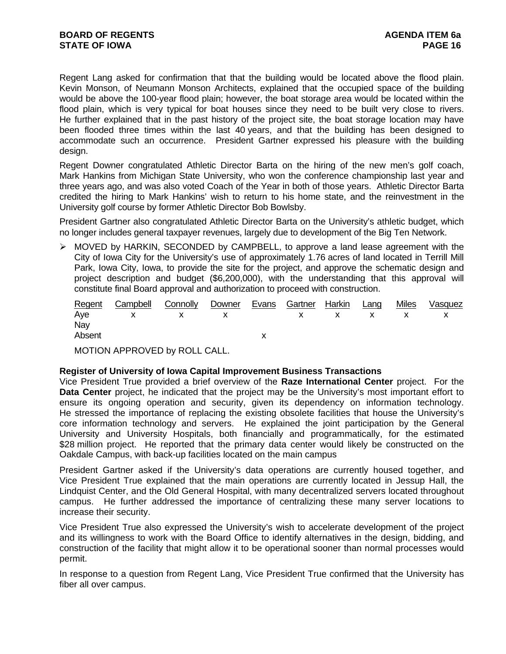Regent Lang asked for confirmation that that the building would be located above the flood plain. Kevin Monson, of Neumann Monson Architects, explained that the occupied space of the building would be above the 100-year flood plain; however, the boat storage area would be located within the flood plain, which is very typical for boat houses since they need to be built very close to rivers. He further explained that in the past history of the project site, the boat storage location may have been flooded three times within the last 40 years, and that the building has been designed to accommodate such an occurrence. President Gartner expressed his pleasure with the building design.

Regent Downer congratulated Athletic Director Barta on the hiring of the new men's golf coach, Mark Hankins from Michigan State University, who won the conference championship last year and three years ago, and was also voted Coach of the Year in both of those years. Athletic Director Barta credited the hiring to Mark Hankins' wish to return to his home state, and the reinvestment in the University golf course by former Athletic Director Bob Bowlsby.

President Gartner also congratulated Athletic Director Barta on the University's athletic budget, which no longer includes general taxpayer revenues, largely due to development of the Big Ten Network.

¾ MOVED by HARKIN, SECONDED by CAMPBELL, to approve a land lease agreement with the City of Iowa City for the University's use of approximately 1.76 acres of land located in Terrill Mill Park, Iowa City, Iowa, to provide the site for the project, and approve the schematic design and project description and budget (\$6,200,000), with the understanding that this approval will constitute final Board approval and authorization to proceed with construction.

|        | Regent Campbell Connolly Downer Evans Gartner Harkin Lang |  |  |  | Miles Vasquez |
|--------|-----------------------------------------------------------|--|--|--|---------------|
|        | Aye x x x x x x x x x                                     |  |  |  |               |
| Nay    |                                                           |  |  |  |               |
| Absent |                                                           |  |  |  |               |

MOTION APPROVED by ROLL CALL.

## **Register of University of Iowa Capital Improvement Business Transactions**

Vice President True provided a brief overview of the **Raze International Center** project. For the **Data Center** project, he indicated that the project may be the University's most important effort to ensure its ongoing operation and security, given its dependency on information technology. He stressed the importance of replacing the existing obsolete facilities that house the University's core information technology and servers. He explained the joint participation by the General University and University Hospitals, both financially and programmatically, for the estimated \$28 million project. He reported that the primary data center would likely be constructed on the Oakdale Campus, with back-up facilities located on the main campus

President Gartner asked if the University's data operations are currently housed together, and Vice President True explained that the main operations are currently located in Jessup Hall, the Lindquist Center, and the Old General Hospital, with many decentralized servers located throughout campus. He further addressed the importance of centralizing these many server locations to increase their security.

Vice President True also expressed the University's wish to accelerate development of the project and its willingness to work with the Board Office to identify alternatives in the design, bidding, and construction of the facility that might allow it to be operational sooner than normal processes would permit.

In response to a question from Regent Lang, Vice President True confirmed that the University has fiber all over campus.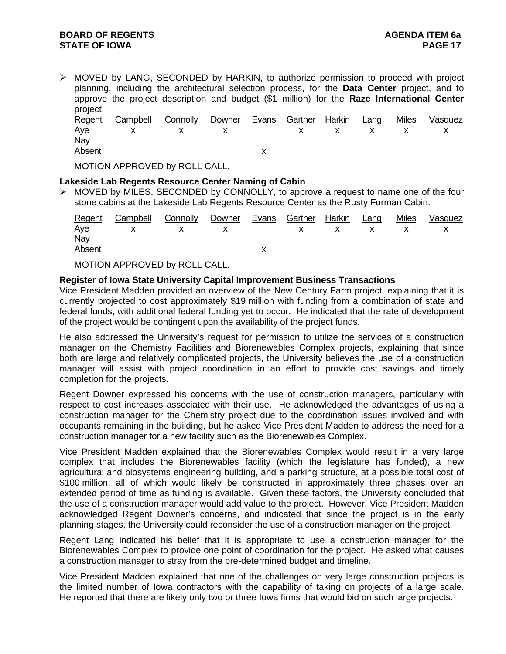# **BOARD OF REGENTS AGENUS AGENDA ITEM 6a STATE OF IOWA** PAGE 17

¾ MOVED by LANG, SECONDED by HARKIN, to authorize permission to proceed with project planning, including the architectural selection process, for the **Data Center** project, and to approve the project description and budget (\$1 million) for the **Raze International Center**  project.

|        | Regent Campbell Connolly Downer |       |  | Evans Gartner Harkin Lang |  | Miles | Vasquez |
|--------|---------------------------------|-------|--|---------------------------|--|-------|---------|
|        | Aye x x x x x x x x x           |       |  |                           |  |       |         |
| Nay    |                                 |       |  |                           |  |       |         |
| Absent |                                 |       |  |                           |  |       |         |
|        |                                 | _ _ _ |  |                           |  |       |         |

MOTION APPROVED by ROLL CALL.

# **Lakeside Lab Regents Resource Center Naming of Cabin**

 $\triangleright$  MOVED by MILES, SECONDED by CONNOLLY, to approve a request to name one of the four stone cabins at the Lakeside Lab Regents Resource Center as the Rusty Furman Cabin.

| Regent | Campbell                      | Connolly | Downer | Evans | Gartner | Harkin | Lang | <b>Miles</b> | Vasquez |
|--------|-------------------------------|----------|--------|-------|---------|--------|------|--------------|---------|
| Aye    |                               |          |        |       |         |        |      |              |         |
| Nay    |                               |          |        |       |         |        |      |              |         |
| Absent |                               |          |        |       |         |        |      |              |         |
|        | MOTION APPROVED by ROLL CALL. |          |        |       |         |        |      |              |         |

# **Register of Iowa State University Capital Improvement Business Transactions**

Vice President Madden provided an overview of the New Century Farm project, explaining that it is currently projected to cost approximately \$19 million with funding from a combination of state and federal funds, with additional federal funding yet to occur. He indicated that the rate of development of the project would be contingent upon the availability of the project funds.

He also addressed the University's request for permission to utilize the services of a construction manager on the Chemistry Facilities and Biorenewables Complex projects, explaining that since both are large and relatively complicated projects, the University believes the use of a construction manager will assist with project coordination in an effort to provide cost savings and timely completion for the projects.

Regent Downer expressed his concerns with the use of construction managers, particularly with respect to cost increases associated with their use. He acknowledged the advantages of using a construction manager for the Chemistry project due to the coordination issues involved and with occupants remaining in the building, but he asked Vice President Madden to address the need for a construction manager for a new facility such as the Biorenewables Complex.

Vice President Madden explained that the Biorenewables Complex would result in a very large complex that includes the Biorenewables facility (which the legislature has funded), a new agricultural and biosystems engineering building, and a parking structure, at a possible total cost of \$100 million, all of which would likely be constructed in approximately three phases over an extended period of time as funding is available. Given these factors, the University concluded that the use of a construction manager would add value to the project. However, Vice President Madden acknowledged Regent Downer's concerns, and indicated that since the project is in the early planning stages, the University could reconsider the use of a construction manager on the project.

Regent Lang indicated his belief that it is appropriate to use a construction manager for the Biorenewables Complex to provide one point of coordination for the project. He asked what causes a construction manager to stray from the pre-determined budget and timeline.

Vice President Madden explained that one of the challenges on very large construction projects is the limited number of Iowa contractors with the capability of taking on projects of a large scale. He reported that there are likely only two or three Iowa firms that would bid on such large projects.